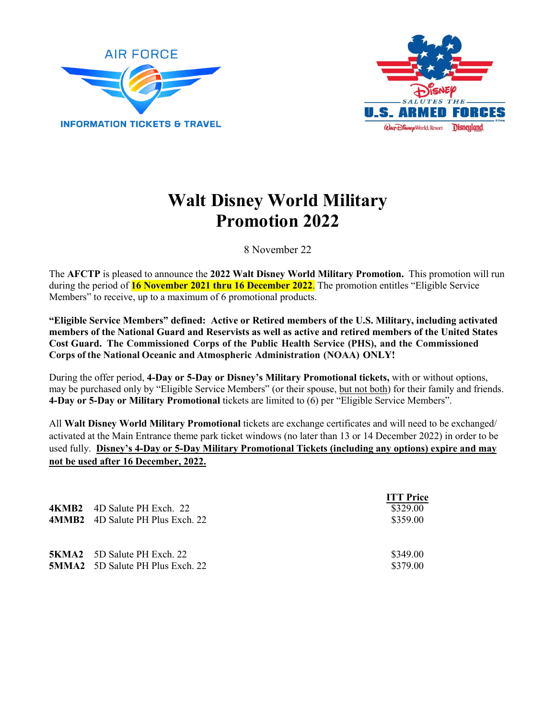



## **Walt Disney World Military Promotion 2022**

8 November 22

The **AFCTP** is pleased to announce the **2022 Walt Disney World Military Promotion.** This promotion will run during the period of **16 November 2021 thru 16 December 2022**. The promotion entitles "Eligible Service Members" to receive, up to a maximum of 6 promotional products.

**"Eligible Service Members" defined: Active or Retired members of the U.S. Military, including activated members of the National Guard and Reservists as well as active and retired members of the United States Cost Guard. The Commissioned Corps of the Public Health Service (PHS), and the Commissioned Corps of the National Oceanic and Atmospheric Administration (NOAA) ONLY!**

During the offer period, **4-Day or 5-Day or Disney's Military Promotional tickets,** with or without options, may be purchased only by "Eligible Service Members" (or their spouse, but not both) for their family and friends. **4-Day or 5-Day or Military Promotional** tickets are limited to (6) per "Eligible Service Members".

All **Walt Disney World Military Promotional** tickets are exchange certificates and will need to be exchanged/ activated at the Main Entrance theme park ticket windows (no later than 13 or 14 December 2022) in order to be used fully. **Disney's 4-Day or 5-Day Military Promotional Tickets (including any options) expire and may not be used after 16 December, 2022.** 

| <b>4KMB2</b> 4D Salute PH Exch. 22<br><b>4MMB2</b> 4D Salute PH Plus Exch. 22 | <b>ITT Price</b><br>\$329.00<br>\$359.00 |
|-------------------------------------------------------------------------------|------------------------------------------|
| <b>5KMA2</b> 5D Salute PH Exch. 22<br><b>5MMA2</b> 5D Salute PH Plus Exch. 22 | \$349.00<br>\$379.00                     |